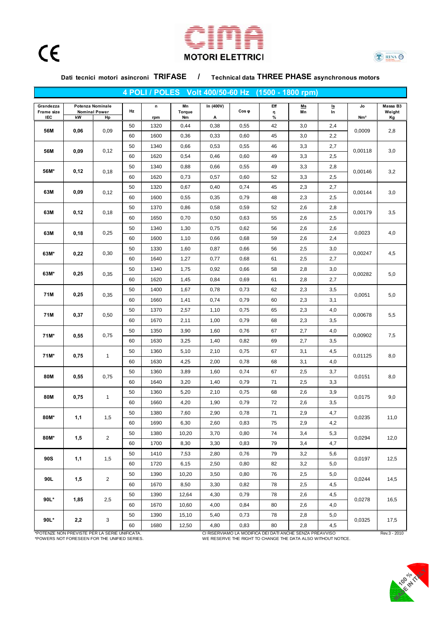





Dati tecnici motori asincroni TRIFASE / Technical data THREE PHASE asynchronous motors

|                                |      |                                                |    |                    |                           |                |               | 4 POLI / POLES Volt 400/50-60 Hz (1500 - 1800 rpm) |          |                                   |                       |                          |
|--------------------------------|------|------------------------------------------------|----|--------------------|---------------------------|----------------|---------------|----------------------------------------------------|----------|-----------------------------------|-----------------------|--------------------------|
| Grandezza<br>Frame size<br>IEC | kW   | Potenza Nominale<br><b>Nominal Power</b><br>Hp | Hz | $\mathsf n$<br>rpm | Mn<br><b>Torque</b><br>Nm | In (400V)<br>Α | $Cos \varphi$ | Eff<br>η<br>%                                      | Ms<br>Mn | $\frac{\mathsf{ls}}{\mathsf{ln}}$ | Jo<br>Nm <sup>2</sup> | Massa B3<br>Weight<br>Kg |
| 56M                            | 0,06 | 0,09                                           | 50 | 1320               | 0,44                      | 0,38           | 0,55          | 42                                                 | 3,0      | 2,4                               |                       |                          |
|                                |      |                                                | 60 | 1600               | 0,36                      | 0,33           | 0,60          | 45                                                 | 3,0      | 2,2                               | 0,0009                | 2,8                      |
| 56M                            | 0,09 | 0,12                                           | 50 | 1340               | 0,66                      | 0,53           | 0,55          | 46                                                 | 3,3      | 2,7                               | 0,00118               | 3,0                      |
|                                |      |                                                | 60 | 1620               | 0,54                      | 0,46           | 0,60          | 49                                                 | 3,3      | 2,5                               |                       |                          |
| 56M*                           | 0,12 | 0,18                                           | 50 | 1340               | 0,88                      | 0,66           | 0,55          | 49                                                 | 3,3      | 2,8                               | 0,00146               | 3,2                      |
|                                |      |                                                | 60 | 1620               | 0,73                      | 0,57           | 0,60          | 52                                                 | 3,3      | 2,5                               |                       |                          |
| 63M                            | 0,09 | 0,12                                           | 50 | 1320               | 0,67                      | 0,40           | 0,74          | 45                                                 | 2,3      | 2,7                               | 0,00144               | 3,0                      |
|                                |      |                                                | 60 | 1600               | 0,55                      | 0,35           | 0,79          | 48                                                 | 2,3      | 2,5                               |                       |                          |
| 63M                            | 0,12 | 0,18                                           | 50 | 1370               | 0,86                      | 0,58           | 0,59          | 52                                                 | 2,6      | 2,8                               | 0,00179               | 3,5                      |
|                                |      |                                                | 60 | 1650               | 0,70                      | 0,50           | 0,63          | 55                                                 | 2,6      | 2,5                               |                       |                          |
| 63M                            | 0,18 | 0,25                                           | 50 | 1340               | 1,30                      | 0,75           | 0,62          | 56                                                 | 2,6      | 2,6                               | 0,0023                | 4,0                      |
|                                |      |                                                | 60 | 1600               | 1,10                      | 0,66           | 0,68          | 59                                                 | 2,6      | 2,4                               |                       |                          |
| 63M*                           | 0,22 | 0,30                                           | 50 | 1330               | 1,60                      | 0,87           | 0,66          | 56                                                 | 2,5      | 3,0                               | 0,00247               | 4,5                      |
|                                |      |                                                | 60 | 1640               | 1,27                      | 0,77           | 0,68          | 61                                                 | 2,5      | 2,7                               |                       |                          |
| 63M*                           | 0,25 | 0,35                                           | 50 | 1340               | 1,75                      | 0,92           | 0,66          | 58                                                 | 2,8      | 3,0                               | 0,00282               | 5,0                      |
|                                |      |                                                | 60 | 1620               | 1,45                      | 0,84           | 0,69          | 61                                                 | 2,8      | 2,7                               |                       |                          |
| 71M                            | 0,25 | 0,35                                           | 50 | 1400               | 1,67                      | 0,78           | 0,73          | 62                                                 | 2,3      | 3,5                               | 0,0051                | 5,0                      |
|                                |      |                                                | 60 | 1660               | 1,41                      | 0,74           | 0,79          | 60                                                 | 2,3      | 3,1                               |                       |                          |
| 71M                            | 0,37 | 0,50                                           | 50 | 1370               | 2,57                      | 1,10           | 0,75          | 65                                                 | 2,3      | 4,0                               | 0,00678               | 5,5                      |
|                                |      |                                                | 60 | 1670               | 2,11                      | 1,00           | 0,79          | 68                                                 | 2,3      | 3,5                               |                       |                          |
| 71M*                           | 0,55 | 0,75                                           | 50 | 1350               | 3,90                      | 1,60           | 0,76          | 67                                                 | 2,7      | 4,0                               | 0,00902               | 7,5                      |
|                                |      |                                                | 60 | 1630               | 3,25                      | 1,40           | 0,82          | 69                                                 | 2,7      | 3,5                               |                       |                          |
| 71M*                           | 0,75 | $\mathbf{1}$                                   | 50 | 1360               | 5,10                      | 2,10           | 0,75          | 67                                                 | 3,1      | 4,5                               | 0,01125               | 8,0                      |
|                                |      |                                                | 60 | 1630               | 4,25                      | 2,00           | 0,78          | 68                                                 | 3,1      | 4,0                               |                       |                          |
| 80M                            | 0,55 | 0,75                                           | 50 | 1360               | 3,89                      | 1,60           | 0,74          | 67                                                 | 2,5      | 3,7                               | 0,0151                | 8,0                      |
|                                |      |                                                | 60 | 1640               | 3,20                      | 1,40           | 0,79          | 71                                                 | 2,5      | 3,3                               |                       |                          |
| 80M                            | 0,75 | $\mathbf{1}$                                   | 50 | 1360               | 5,20                      | 2,10           | 0,75          | 68                                                 | 2,6      | 3,9                               | 0,0175                | 9,0                      |
|                                |      |                                                | 60 | 1660               | 4,20                      | 1,90           | 0,79          | 72                                                 | 2,6      | 3,5                               |                       |                          |
| 80M*                           | 1,1  | 1,5                                            | 50 | 1380               | 7,60                      | 2,90           | 0,78          | 71                                                 | 2,9      | 4,7                               | 0,0235                | 11,0                     |
|                                |      |                                                | 60 | 1690               | 6,30                      | 2,60           | 0,83          | 75                                                 | 2,9      | 4,2                               |                       |                          |
| 80M*                           | 1,5  | $\overline{2}$                                 | 50 | 1380               | 10,20                     | 3,70           | 0,80          | 74                                                 | 3,4      | 5,3                               | 0,0294                | 12,0                     |
|                                |      |                                                | 60 | 1700               | 8,30                      | 3,30           | 0,83          | 79                                                 | 3,4      | 4,7                               |                       |                          |
| 90S                            | 1,1  | 1,5                                            | 50 | 1410               | 7,53                      | 2,80           | 0,76          | 79                                                 | 3,2      | 5,6                               | 0,0197                | 12,5                     |
|                                |      |                                                | 60 | 1720               | 6,15                      | 2,50           | 0,80          | 82                                                 | 3,2      | 5,0                               |                       |                          |
| 90L                            | 1,5  | $\overline{2}$                                 | 50 | 1390               | 10,20                     | 3,50           | 0,80          | 76                                                 | 2,5      | 5,0                               | 0,0244                | 14,5                     |
|                                |      |                                                | 60 | 1670               | 8,50                      | 3,30           | 0,82          | 78                                                 | 2,5      | 4,5                               |                       |                          |
| 90L*                           | 1,85 | 2,5                                            | 50 | 1390               | 12,64                     | 4,30           | 0,79          | 78                                                 | 2,6      | 4,5                               | 0,0278                | 16,5                     |
|                                |      |                                                | 60 | 1670               | 10,60                     | 4,00           | 0,84          | 80                                                 | 2,6      | 4,0                               |                       |                          |
| $90L*$                         | 2,2  | 3                                              | 50 | 1390               | 15,10                     | 5,40           | 0,73          | 78                                                 | 2,8      | 5,0                               | 0,0325                | 17,5                     |
|                                |      |                                                | 60 | 1680               | 12,50                     | 4,80           | 0,83          | 80                                                 | 2,8      | 4,5                               |                       |                          |

A AND TO THE MANUSIME REAL SERIE UNIFICATA.<br>
CI RISERVIAMO LA MODIFICA DEI DATI ANCHE SENZA PREAVVISO Rev.3 - 2010<br>
TOWERS NOT FORESEEN FOR THE UNIFIED SERIES. WE RESERVE THE RIGHT TO CHANGE THE DATA ALSO WITHOUT NOTICE. WE RESERVE THE RIGHT TO CHANGE THE DATA ALSO WITHOUT NOTICE.